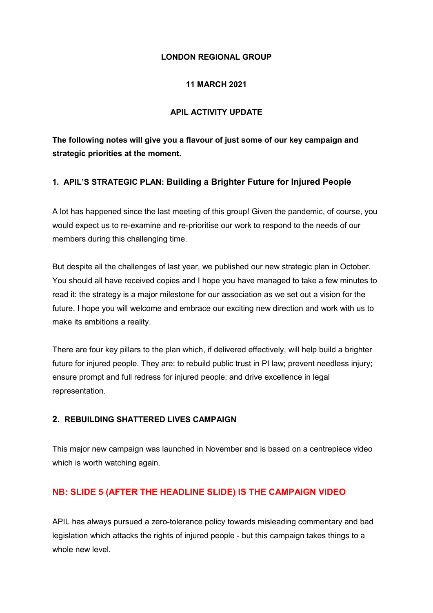## **LONDON REGIONAL GROUP**

## **11 MARCH 2021**

## **APIL ACTIVITY UPDATE**

**The following notes will give you a flavour of just some of our key campaign and strategic priorities at the moment.**

# **1. APIL'S STRATEGIC PLAN: Building a Brighter Future for Injured People**

A lot has happened since the last meeting of this group! Given the pandemic, of course, you would expect us to re-examine and re-prioritise our work to respond to the needs of our members during this challenging time.

But despite all the challenges of last year, we published our new strategic plan in October. You should all have received copies and I hope you have managed to take a few minutes to read it: the strategy is a major milestone for our association as we set out a vision for the future. I hope you will welcome and embrace our exciting new direction and work with us to make its ambitions a reality.

There are four key pillars to the plan which, if delivered effectively, will help build a brighter future for injured people. They are: to rebuild public trust in PI law; prevent needless injury; ensure prompt and full redress for injured people; and drive excellence in legal representation.

#### **2. REBUILDING SHATTERED LIVES CAMPAIGN**

This major new campaign was launched in November and is based on a centrepiece video which is worth watching again.

# **NB: SLIDE 5 (AFTER THE HEADLINE SLIDE) IS THE CAMPAIGN VIDEO**

APIL has always pursued a zero-tolerance policy towards misleading commentary and bad legislation which attacks the rights of injured people - but this campaign takes things to a whole new level.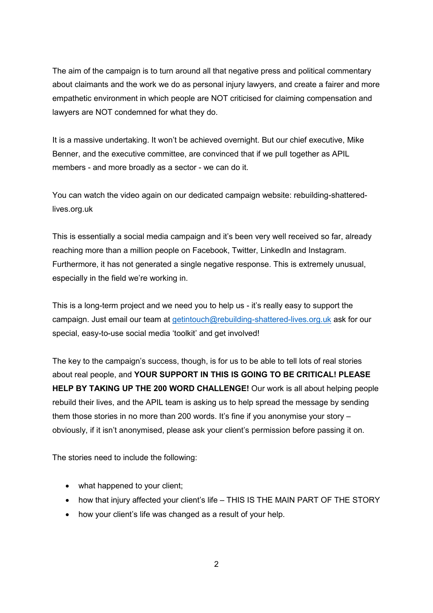The aim of the campaign is to turn around all that negative press and political commentary about claimants and the work we do as personal injury lawyers, and create a fairer and more empathetic environment in which people are NOT criticised for claiming compensation and lawyers are NOT condemned for what they do.

It is a massive undertaking. It won't be achieved overnight. But our chief executive, Mike Benner, and the executive committee, are convinced that if we pull together as APIL members - and more broadly as a sector - we can do it.

You can watch the video again on our dedicated campaign website: rebuilding-shatteredlives.org.uk

This is essentially a social media campaign and it's been very well received so far, already reaching more than a million people on Facebook, Twitter, LinkedIn and Instagram. Furthermore, it has not generated a single negative response. This is extremely unusual, especially in the field we're working in.

This is a long-term project and we need you to help us - it's really easy to support the campaign. Just email our team at [getintouch@rebuilding-shattered-lives.org.uk](mailto:getintouch@rebuilding-shattered-lives.org.uk) ask for our special, easy-to-use social media 'toolkit' and get involved!

The key to the campaign's success, though, is for us to be able to tell lots of real stories about real people, and **YOUR SUPPORT IN THIS IS GOING TO BE CRITICAL! PLEASE HELP BY TAKING UP THE 200 WORD CHALLENGE!** Our work is all about helping people rebuild their lives, and the APIL team is asking us to help spread the message by sending them those stories in no more than 200 words. It's fine if you anonymise your story – obviously, if it isn't anonymised, please ask your client's permission before passing it on.

The stories need to include the following:

- what happened to your client;
- how that injury affected your client's life THIS IS THE MAIN PART OF THE STORY
- how your client's life was changed as a result of your help.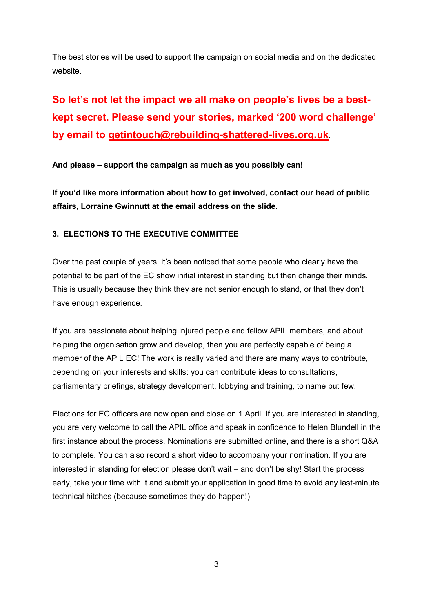The best stories will be used to support the campaign on social media and on the dedicated website.

# **So let's not let the impact we all make on people's lives be a bestkept secret. Please send your stories, marked '200 word challenge' by email to [getintouch@rebuilding-shattered-lives.org.uk](mailto:getintouch@rebuilding-shattered-lives.org.uk)**.

**And please – support the campaign as much as you possibly can!**

**If you'd like more information about how to get involved, contact our head of public affairs, Lorraine Gwinnutt at the email address on the slide.**

# **3. ELECTIONS TO THE EXECUTIVE COMMITTEE**

Over the past couple of years, it's been noticed that some people who clearly have the potential to be part of the EC show initial interest in standing but then change their minds. This is usually because they think they are not senior enough to stand, or that they don't have enough experience.

If you are passionate about helping injured people and fellow APIL members, and about helping the organisation grow and develop, then you are perfectly capable of being a member of the APIL EC! The work is really varied and there are many ways to contribute, depending on your interests and skills: you can contribute ideas to consultations, parliamentary briefings, strategy development, lobbying and training, to name but few.

Elections for EC officers are now open and close on 1 April. If you are interested in standing, you are very welcome to call the APIL office and speak in confidence to Helen Blundell in the first instance about the process. Nominations are submitted online, and there is a short Q&A to complete. You can also record a short video to accompany your nomination. If you are interested in standing for election please don't wait – and don't be shy! Start the process early, take your time with it and submit your application in good time to avoid any last-minute technical hitches (because sometimes they do happen!).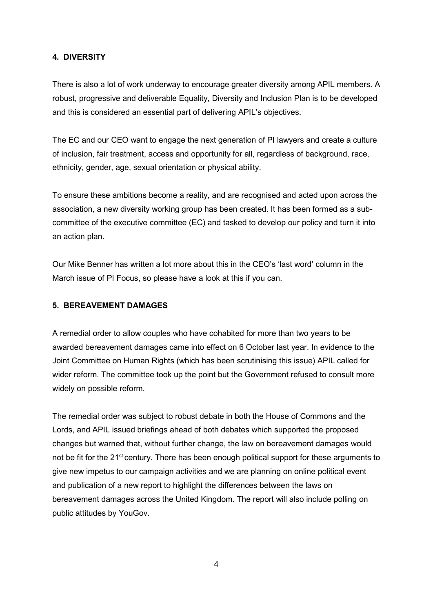## **4. DIVERSITY**

There is also a lot of work underway to encourage greater diversity among APIL members. A robust, progressive and deliverable Equality, Diversity and Inclusion Plan is to be developed and this is considered an essential part of delivering APIL's objectives.

The EC and our CEO want to engage the next generation of PI lawyers and create a culture of inclusion, fair treatment, access and opportunity for all, regardless of background, race, ethnicity, gender, age, sexual orientation or physical ability.

To ensure these ambitions become a reality, and are recognised and acted upon across the association, a new diversity working group has been created. It has been formed as a subcommittee of the executive committee (EC) and tasked to develop our policy and turn it into an action plan.

Our Mike Benner has written a lot more about this in the CEO's 'last word' column in the March issue of PI Focus, so please have a look at this if you can.

#### **5. BEREAVEMENT DAMAGES**

A remedial order to allow couples who have cohabited for more than two years to be awarded bereavement damages came into effect on 6 October last year. In evidence to the Joint Committee on Human Rights (which has been scrutinising this issue) APIL called for wider reform. The committee took up the point but the Government refused to consult more widely on possible reform.

The remedial order was subject to robust debate in both the House of Commons and the Lords, and APIL issued briefings ahead of both debates which supported the proposed changes but warned that, without further change, the law on bereavement damages would not be fit for the 21<sup>st</sup> century. There has been enough political support for these arguments to give new impetus to our campaign activities and we are planning on online political event and publication of a new report to highlight the differences between the laws on bereavement damages across the United Kingdom. The report will also include polling on public attitudes by YouGov.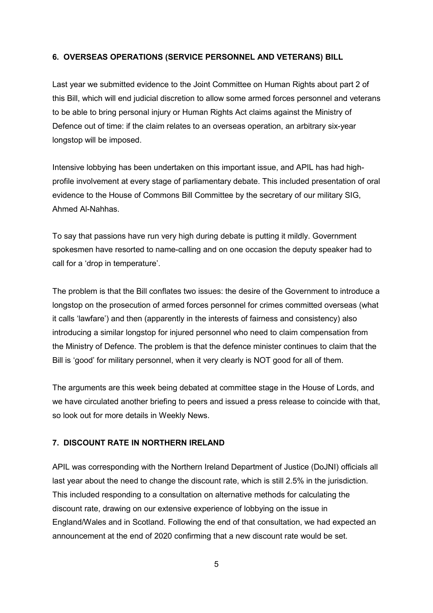## **6. OVERSEAS OPERATIONS (SERVICE PERSONNEL AND VETERANS) BILL**

Last year we submitted evidence to the Joint Committee on Human Rights about part 2 of this Bill, which will end judicial discretion to allow some armed forces personnel and veterans to be able to bring personal injury or Human Rights Act claims against the Ministry of Defence out of time: if the claim relates to an overseas operation, an arbitrary six-year longstop will be imposed.

Intensive lobbying has been undertaken on this important issue, and APIL has had highprofile involvement at every stage of parliamentary debate. This included presentation of oral evidence to the House of Commons Bill Committee by the secretary of our military SIG, Ahmed Al-Nahhas.

To say that passions have run very high during debate is putting it mildly. Government spokesmen have resorted to name-calling and on one occasion the deputy speaker had to call for a 'drop in temperature'.

The problem is that the Bill conflates two issues: the desire of the Government to introduce a longstop on the prosecution of armed forces personnel for crimes committed overseas (what it calls 'lawfare') and then (apparently in the interests of fairness and consistency) also introducing a similar longstop for injured personnel who need to claim compensation from the Ministry of Defence. The problem is that the defence minister continues to claim that the Bill is 'good' for military personnel, when it very clearly is NOT good for all of them.

The arguments are this week being debated at committee stage in the House of Lords, and we have circulated another briefing to peers and issued a press release to coincide with that, so look out for more details in Weekly News.

## **7. DISCOUNT RATE IN NORTHERN IRELAND**

APIL was corresponding with the Northern Ireland Department of Justice (DoJNI) officials all last year about the need to change the discount rate, which is still 2.5% in the jurisdiction. This included responding to a consultation on alternative methods for calculating the discount rate, drawing on our extensive experience of lobbying on the issue in England/Wales and in Scotland. Following the end of that consultation, we had expected an announcement at the end of 2020 confirming that a new discount rate would be set.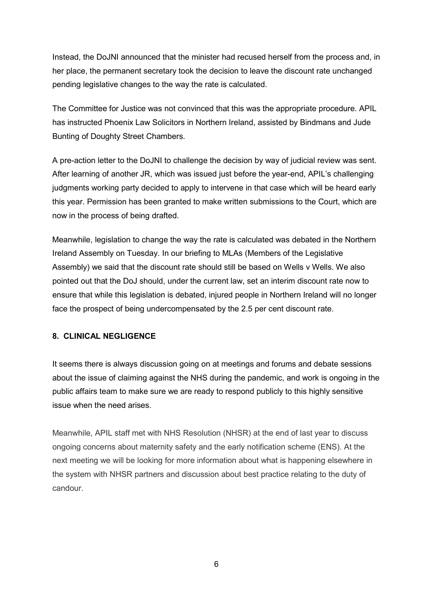Instead, the DoJNI announced that the minister had recused herself from the process and, in her place, the permanent secretary took the decision to leave the discount rate unchanged pending legislative changes to the way the rate is calculated.

The Committee for Justice was not convinced that this was the appropriate procedure. APIL has instructed Phoenix Law Solicitors in Northern Ireland, assisted by Bindmans and Jude Bunting of Doughty Street Chambers.

A pre-action letter to the DoJNI to challenge the decision by way of judicial review was sent. After learning of another JR, which was issued just before the year-end, APIL's challenging judgments working party decided to apply to intervene in that case which will be heard early this year. Permission has been granted to make written submissions to the Court, which are now in the process of being drafted.

Meanwhile, legislation to change the way the rate is calculated was debated in the Northern Ireland Assembly on Tuesday. In our briefing to MLAs (Members of the Legislative Assembly) we said that the discount rate should still be based on Wells v Wells. We also pointed out that the DoJ should, under the current law, set an interim discount rate now to ensure that while this legislation is debated, injured people in Northern Ireland will no longer face the prospect of being undercompensated by the 2.5 per cent discount rate.

#### **8. CLINICAL NEGLIGENCE**

It seems there is always discussion going on at meetings and forums and debate sessions about the issue of claiming against the NHS during the pandemic, and work is ongoing in the public affairs team to make sure we are ready to respond publicly to this highly sensitive issue when the need arises.

Meanwhile, APIL staff met with NHS Resolution (NHSR) at the end of last year to discuss ongoing concerns about maternity safety and the early notification scheme (ENS). At the next meeting we will be looking for more information about what is happening elsewhere in the system with NHSR partners and discussion about best practice relating to the duty of candour.